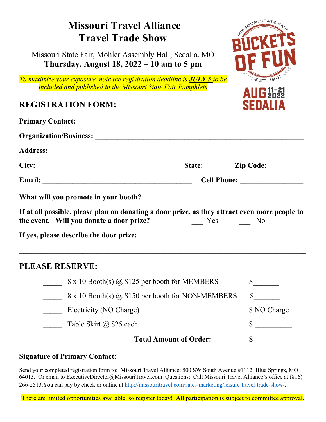## ENSOURISTATE **Missouri Travel Alliance Travel Trade Show** Missouri State Fair, Mohler Assembly Hall, Sedalia, MO **Thursday, August 18, 2022 – 10 am to 5 pm** *To maximize your exposure, note the registration deadline is JULY 5 to be*  EST. 190 *included and published in the Missouri State Fair Pamphlets*  $\mathbf{A} \mathbf{U} \mathbf{G}$   $\substack{11-21 \\ 2022}$ **REGISTRATION FORM:** SFNALL **Primary Contact:** \_\_\_\_\_\_\_\_\_\_\_\_\_\_\_\_\_\_\_\_\_\_\_\_\_\_\_\_\_\_\_\_\_\_\_\_ **Organization/Business:** \_\_\_\_\_\_\_\_\_\_\_\_\_\_\_\_\_\_\_\_\_\_\_\_\_\_\_\_\_\_\_\_\_\_\_\_\_\_\_\_\_\_\_\_\_\_\_\_\_\_\_\_\_\_\_\_ **Address:** \_\_\_\_\_\_\_\_\_\_\_\_\_\_\_\_\_\_\_\_\_\_\_\_\_\_\_\_\_\_\_\_\_\_\_\_\_\_\_\_\_\_\_\_\_\_\_\_\_\_\_\_\_\_\_\_\_\_\_\_\_\_\_\_\_\_\_\_ City: <u>Letter</u> **City:**  $\overline{C}$  **Code:**  $\overline{C}$  **Zip Code:**  $\overline{C}$  **Zip Code:**  $\overline{C}$ **Email:** Cell Phone: What will you promote in your booth? **If at all possible, please plan on donating a door prize, as they attract even more people to the event. Will you donate a door prize?** Yes No **If yes, please describe the door prize:** \_\_\_\_\_\_\_\_\_\_\_\_\_\_\_\_\_\_\_\_\_\_\_\_\_\_\_\_\_\_\_\_\_\_\_\_\_\_\_\_\_\_\_\_\_  $\mathcal{L}_\text{max}$  , and the contribution of the contribution of the contribution of the contribution of the contribution of the contribution of the contribution of the contribution of the contribution of the contribution of t **PLEASE RESERVE:**  $8 \times 10$  Booth(s)  $\omega$  \$125 per booth for MEMBERS  $\sim$  \$  $8 \times 10$  Booth(s) @ \$150 per booth for NON-MEMBERS  $\$$ Electricity (NO Charge)  $$NO Charge$ Table Skirt  $@$  \$25 each  $$$ **Total Amount of Order: \$\_\_\_\_\_\_\_\_\_\_\_**

## Signature of Primary Contact:

Send your completed registration form to: Missouri Travel Alliance; 500 SW South Avenue #1112; Blue Springs, MO 64013. Or email to ExecutiveDirector@MissouriTravel.com. Questions: Call Missouri Travel Alliance's office at (816) 266-2513.You can pay by check or online at [http://missouritravel.com/sales-marketing/leisure-travel-trade-show/.](http://missouritravel.com/sales-marketing/leisure-travel-trade-show/)

There are limited opportunities available, so register today! All participation is subject to committee approval.